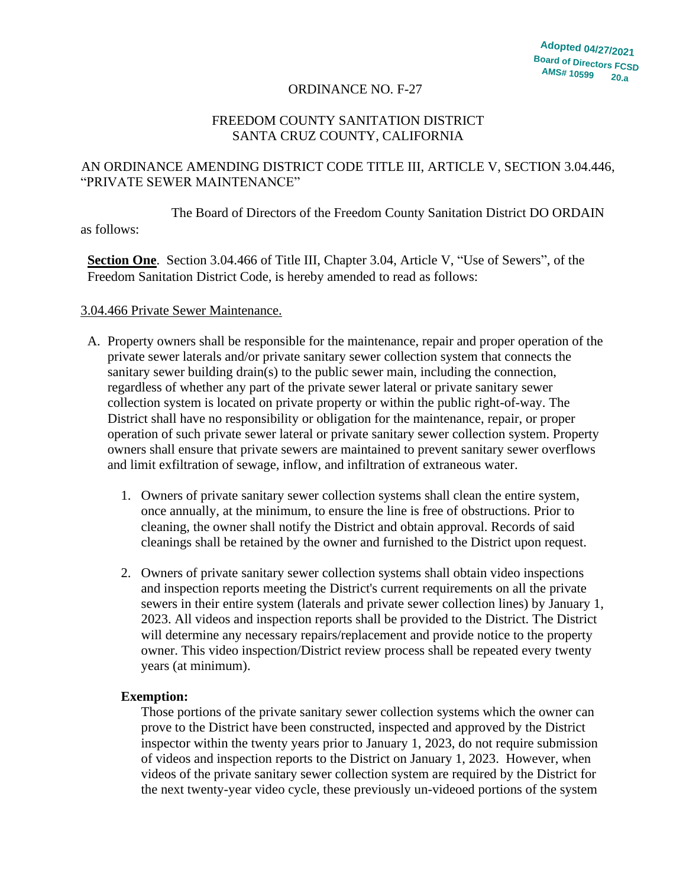### ORDINANCE NO. F-27

## FREEDOM COUNTY SANITATION DISTRICT SANTA CRUZ COUNTY, CALIFORNIA

# AN ORDINANCE AMENDING DISTRICT CODE TITLE III, ARTICLE V, SECTION 3.04.446, "PRIVATE SEWER MAINTENANCE"

The Board of Directors of the Freedom County Sanitation District DO ORDAIN as follows:

**Section One**. Section 3.04.466 of Title III, Chapter 3.04, Article V, "Use of Sewers", of the Freedom Sanitation District Code, is hereby amended to read as follows:

#### 3.04.466 Private Sewer Maintenance.

- A. Property owners shall be responsible for the maintenance, repair and proper operation of the private sewer laterals and/or private sanitary sewer collection system that connects the sanitary sewer building drain(s) to the public sewer main, including the connection, regardless of whether any part of the private sewer lateral or private sanitary sewer collection system is located on private property or within the public right-of-way. The District shall have no responsibility or obligation for the maintenance, repair, or proper operation of such private sewer lateral or private sanitary sewer collection system. Property owners shall ensure that private sewers are maintained to prevent sanitary sewer overflows and limit exfiltration of sewage, inflow, and infiltration of extraneous water.
	- 1. Owners of private sanitary sewer collection systems shall clean the entire system, once annually, at the minimum, to ensure the line is free of obstructions. Prior to cleaning, the owner shall notify the District and obtain approval. Records of said cleanings shall be retained by the owner and furnished to the District upon request.
	- 2. Owners of private sanitary sewer collection systems shall obtain video inspections and inspection reports meeting the District's current requirements on all the private sewers in their entire system (laterals and private sewer collection lines) by January 1, 2023. All videos and inspection reports shall be provided to the District. The District will determine any necessary repairs/replacement and provide notice to the property owner. This video inspection/District review process shall be repeated every twenty years (at minimum).

#### **Exemption:**

Those portions of the private sanitary sewer collection systems which the owner can prove to the District have been constructed, inspected and approved by the District inspector within the twenty years prior to January 1, 2023, do not require submission of videos and inspection reports to the District on January 1, 2023. However, when videos of the private sanitary sewer collection system are required by the District for the next twenty-year video cycle, these previously un-videoed portions of the system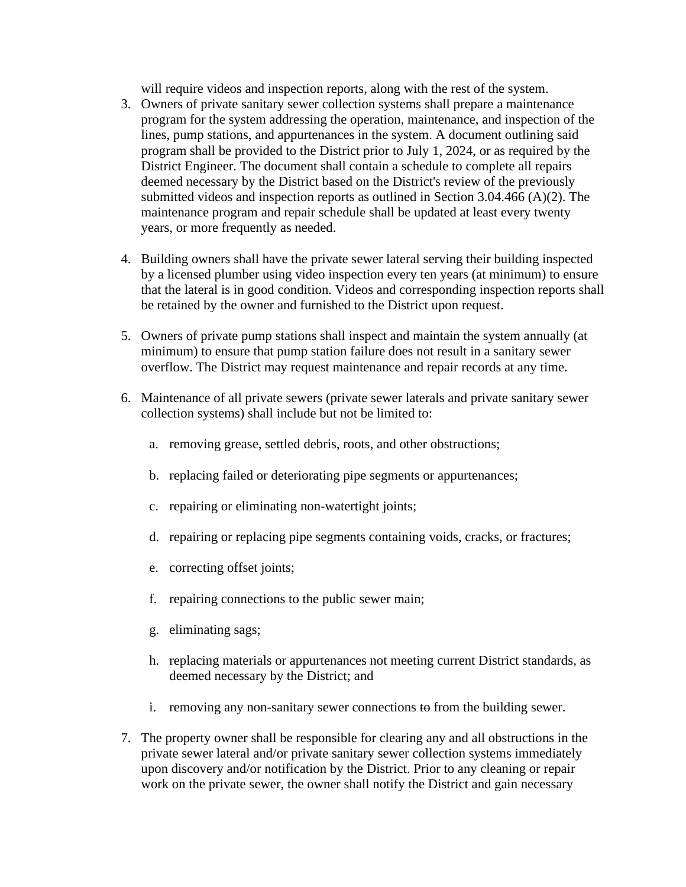will require videos and inspection reports, along with the rest of the system.

- 3. Owners of private sanitary sewer collection systems shall prepare a maintenance program for the system addressing the operation, maintenance, and inspection of the lines, pump stations, and appurtenances in the system. A document outlining said program shall be provided to the District prior to July 1, 2024, or as required by the District Engineer. The document shall contain a schedule to complete all repairs deemed necessary by the District based on the District's review of the previously submitted videos and inspection reports as outlined in Section 3.04.466 (A)(2). The maintenance program and repair schedule shall be updated at least every twenty years, or more frequently as needed.
- 4. Building owners shall have the private sewer lateral serving their building inspected by a licensed plumber using video inspection every ten years (at minimum) to ensure that the lateral is in good condition. Videos and corresponding inspection reports shall be retained by the owner and furnished to the District upon request.
- 5. Owners of private pump stations shall inspect and maintain the system annually (at minimum) to ensure that pump station failure does not result in a sanitary sewer overflow. The District may request maintenance and repair records at any time.
- 6. Maintenance of all private sewers (private sewer laterals and private sanitary sewer collection systems) shall include but not be limited to:
	- a. removing grease, settled debris, roots, and other obstructions;
	- b. replacing failed or deteriorating pipe segments or appurtenances;
	- c. repairing or eliminating non-watertight joints;
	- d. repairing or replacing pipe segments containing voids, cracks, or fractures;
	- e. correcting offset joints;
	- f. repairing connections to the public sewer main;
	- g. eliminating sags;
	- h. replacing materials or appurtenances not meeting current District standards, as deemed necessary by the District; and
	- i. removing any non-sanitary sewer connections to from the building sewer.
- 7. The property owner shall be responsible for clearing any and all obstructions in the private sewer lateral and/or private sanitary sewer collection systems immediately upon discovery and/or notification by the District. Prior to any cleaning or repair work on the private sewer, the owner shall notify the District and gain necessary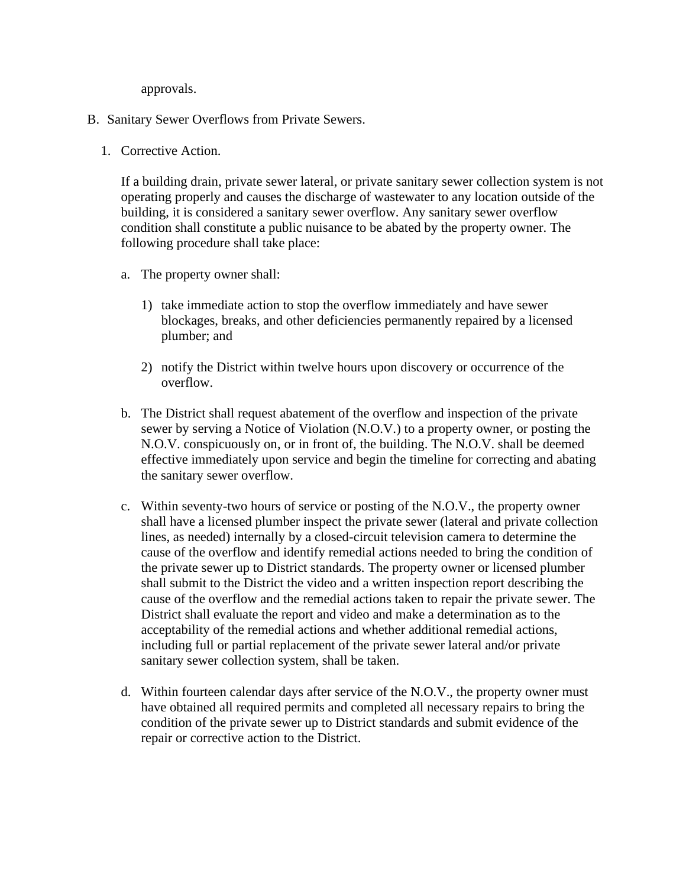approvals.

- B. Sanitary Sewer Overflows from Private Sewers.
	- 1. Corrective Action.

If a building drain, private sewer lateral, or private sanitary sewer collection system is not operating properly and causes the discharge of wastewater to any location outside of the building, it is considered a sanitary sewer overflow. Any sanitary sewer overflow condition shall constitute a public nuisance to be abated by the property owner. The following procedure shall take place:

- a. The property owner shall:
	- 1) take immediate action to stop the overflow immediately and have sewer blockages, breaks, and other deficiencies permanently repaired by a licensed plumber; and
	- 2) notify the District within twelve hours upon discovery or occurrence of the overflow.
- b. The District shall request abatement of the overflow and inspection of the private sewer by serving a Notice of Violation (N.O.V.) to a property owner, or posting the N.O.V. conspicuously on, or in front of, the building. The N.O.V. shall be deemed effective immediately upon service and begin the timeline for correcting and abating the sanitary sewer overflow.
- c. Within seventy-two hours of service or posting of the N.O.V., the property owner shall have a licensed plumber inspect the private sewer (lateral and private collection lines, as needed) internally by a closed-circuit television camera to determine the cause of the overflow and identify remedial actions needed to bring the condition of the private sewer up to District standards. The property owner or licensed plumber shall submit to the District the video and a written inspection report describing the cause of the overflow and the remedial actions taken to repair the private sewer. The District shall evaluate the report and video and make a determination as to the acceptability of the remedial actions and whether additional remedial actions, including full or partial replacement of the private sewer lateral and/or private sanitary sewer collection system, shall be taken.
- d. Within fourteen calendar days after service of the N.O.V., the property owner must have obtained all required permits and completed all necessary repairs to bring the condition of the private sewer up to District standards and submit evidence of the repair or corrective action to the District.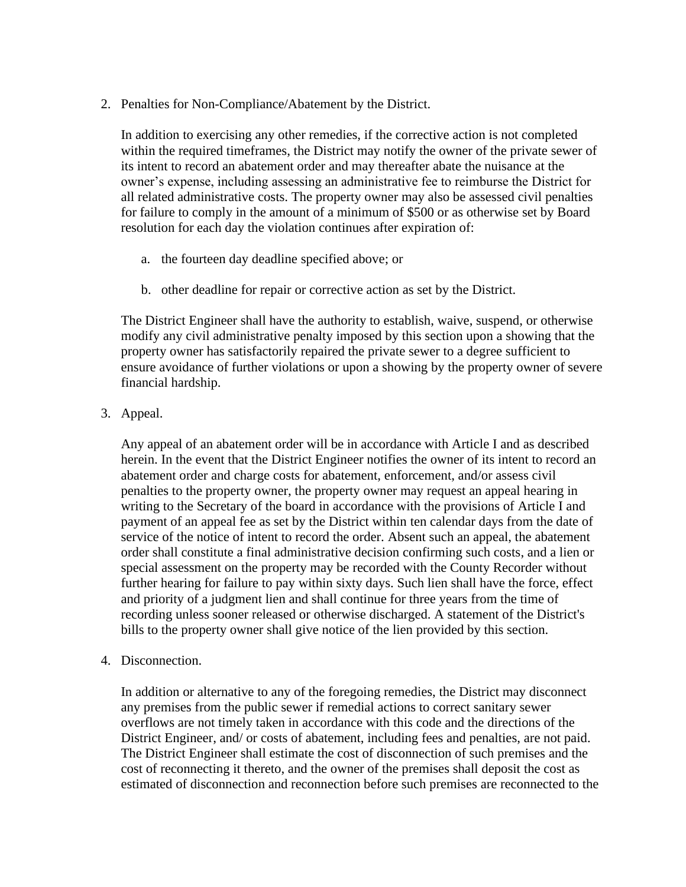2. Penalties for Non-Compliance/Abatement by the District.

In addition to exercising any other remedies, if the corrective action is not completed within the required timeframes, the District may notify the owner of the private sewer of its intent to record an abatement order and may thereafter abate the nuisance at the owner's expense, including assessing an administrative fee to reimburse the District for all related administrative costs. The property owner may also be assessed civil penalties for failure to comply in the amount of a minimum of \$500 or as otherwise set by Board resolution for each day the violation continues after expiration of:

- a. the fourteen day deadline specified above; or
- b. other deadline for repair or corrective action as set by the District.

The District Engineer shall have the authority to establish, waive, suspend, or otherwise modify any civil administrative penalty imposed by this section upon a showing that the property owner has satisfactorily repaired the private sewer to a degree sufficient to ensure avoidance of further violations or upon a showing by the property owner of severe financial hardship.

3. Appeal.

Any appeal of an abatement order will be in accordance with Article I and as described herein. In the event that the District Engineer notifies the owner of its intent to record an abatement order and charge costs for abatement, enforcement, and/or assess civil penalties to the property owner, the property owner may request an appeal hearing in writing to the Secretary of the board in accordance with the provisions of Article I and payment of an appeal fee as set by the District within ten calendar days from the date of service of the notice of intent to record the order. Absent such an appeal, the abatement order shall constitute a final administrative decision confirming such costs, and a lien or special assessment on the property may be recorded with the County Recorder without further hearing for failure to pay within sixty days. Such lien shall have the force, effect and priority of a judgment lien and shall continue for three years from the time of recording unless sooner released or otherwise discharged. A statement of the District's bills to the property owner shall give notice of the lien provided by this section.

4. Disconnection.

In addition or alternative to any of the foregoing remedies, the District may disconnect any premises from the public sewer if remedial actions to correct sanitary sewer overflows are not timely taken in accordance with this code and the directions of the District Engineer, and/ or costs of abatement, including fees and penalties, are not paid. The District Engineer shall estimate the cost of disconnection of such premises and the cost of reconnecting it thereto, and the owner of the premises shall deposit the cost as estimated of disconnection and reconnection before such premises are reconnected to the